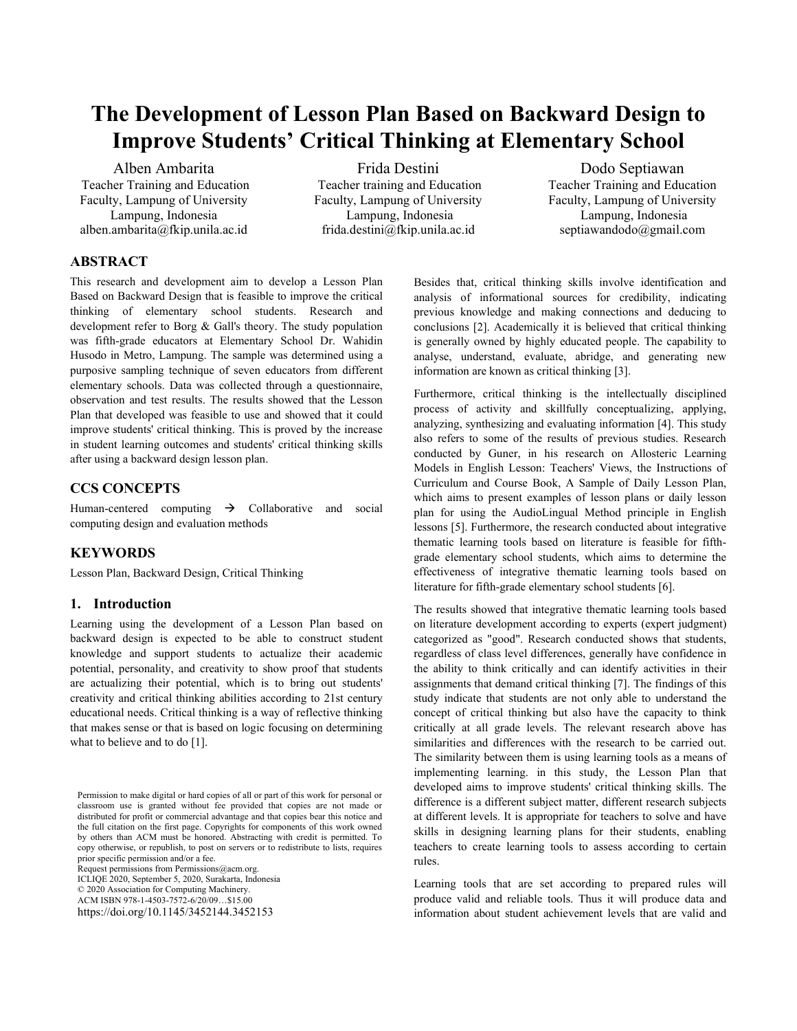# **The Development of Lesson Plan Based on Backward Design to Improve Students' Critical Thinking at Elementary School**

Alben Ambarita Teacher Training and Education Faculty, Lampung of University Lampung, Indonesia alben.ambarita@fkip.unila.ac.id

Frida Destini Teacher training and Education Faculty, Lampung of University Lampung, Indonesia frida.destini@fkip.unila.ac.id

Dodo Septiawan Teacher Training and Education Faculty, Lampung of University Lampung, Indonesia septiawandodo@gmail.com

# **ABSTRACT**

This research and development aim to develop a Lesson Plan Based on Backward Design that is feasible to improve the critical thinking of elementary school students. Research and development refer to Borg & Gall's theory. The study population was fifth-grade educators at Elementary School Dr. Wahidin Husodo in Metro, Lampung. The sample was determined using a purposive sampling technique of seven educators from different elementary schools. Data was collected through a questionnaire, observation and test results. The results showed that the Lesson Plan that developed was feasible to use and showed that it could improve students' critical thinking. This is proved by the increase in student learning outcomes and students' critical thinking skills after using a backward design lesson plan.

# **CCS CONCEPTS**

Human-centered computing  $\rightarrow$  Collaborative and social computing design and evaluation methods

# **KEYWORDS**

Lesson Plan, Backward Design, Critical Thinking

# **1. Introduction**

Learning using the development of a Lesson Plan based on backward design is expected to be able to construct student knowledge and support students to actualize their academic potential, personality, and creativity to show proof that students are actualizing their potential, which is to bring out students' creativity and critical thinking abilities according to 21st century educational needs. Critical thinking is a way of reflective thinking that makes sense or that is based on logic focusing on determining what to believe and to do [1].

Request permissions from Permissions@acm.org. ICLIQE 2020, September 5, 2020, Surakarta, Indonesia

© 2020 Association for Computing Machinery.

ACM ISBN 978-1-4503-7572-6/20/09…\$15.00

https://doi.org/10.1145/3452144.3452153

Besides that, critical thinking skills involve identification and analysis of informational sources for credibility, indicating previous knowledge and making connections and deducing to conclusions [2]. Academically it is believed that critical thinking is generally owned by highly educated people. The capability to analyse, understand, evaluate, abridge, and generating new information are known as critical thinking [3].

Furthermore, critical thinking is the intellectually disciplined process of activity and skillfully conceptualizing, applying, analyzing, synthesizing and evaluating information [4]. This study also refers to some of the results of previous studies. Research conducted by Guner, in his research on Allosteric Learning Models in English Lesson: Teachers' Views, the Instructions of Curriculum and Course Book, A Sample of Daily Lesson Plan, which aims to present examples of lesson plans or daily lesson plan for using the AudioLingual Method principle in English lessons [5]. Furthermore, the research conducted about integrative thematic learning tools based on literature is feasible for fifthgrade elementary school students, which aims to determine the effectiveness of integrative thematic learning tools based on literature for fifth-grade elementary school students [6].

The results showed that integrative thematic learning tools based on literature development according to experts (expert judgment) categorized as "good". Research conducted shows that students, regardless of class level differences, generally have confidence in the ability to think critically and can identify activities in their assignments that demand critical thinking [7]. The findings of this study indicate that students are not only able to understand the concept of critical thinking but also have the capacity to think critically at all grade levels. The relevant research above has similarities and differences with the research to be carried out. The similarity between them is using learning tools as a means of implementing learning. in this study, the Lesson Plan that developed aims to improve students' critical thinking skills. The difference is a different subject matter, different research subjects at different levels. It is appropriate for teachers to solve and have skills in designing learning plans for their students, enabling teachers to create learning tools to assess according to certain rules.

Learning tools that are set according to prepared rules will produce valid and reliable tools. Thus it will produce data and information about student achievement levels that are valid and

Permission to make digital or hard copies of all or part of this work for personal or classroom use is granted without fee provided that copies are not made or distributed for profit or commercial advantage and that copies bear this notice and the full citation on the first page. Copyrights for components of this work owned by others than ACM must be honored. Abstracting with credit is permitted. To copy otherwise, or republish, to post on servers or to redistribute to lists, requires prior specific permission and/or a fee.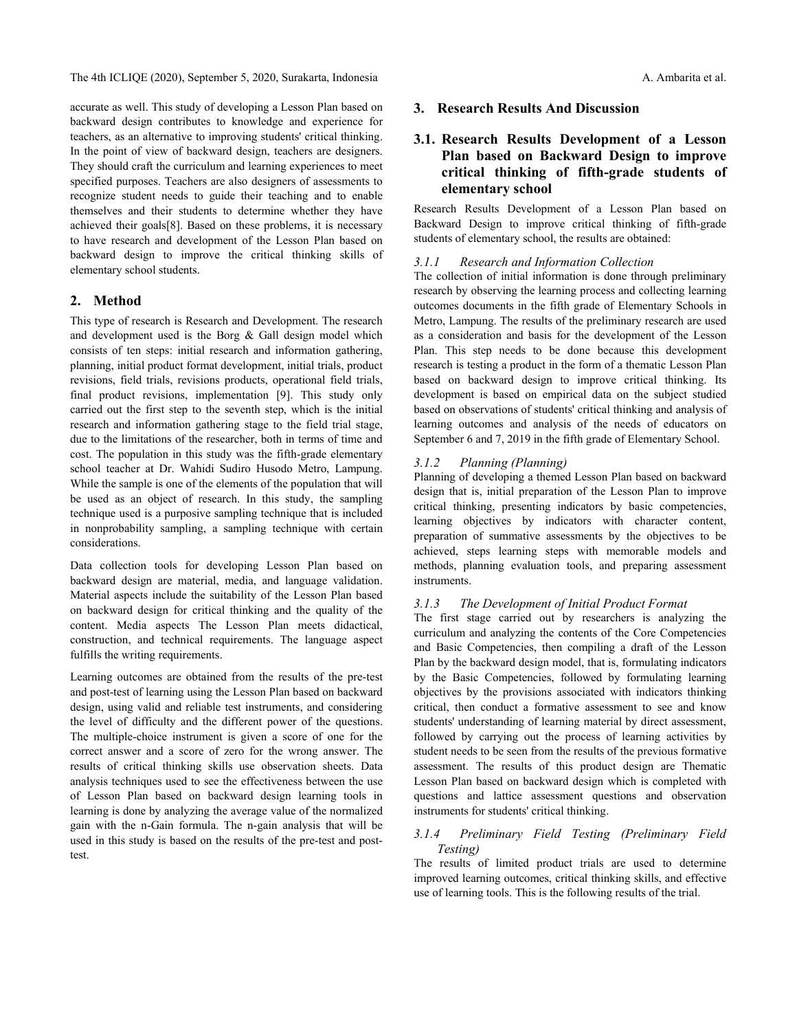The 4th ICLIQE (2020), September 5, 2020, Surakarta, Indonesia A. Ambarita et al.

accurate as well. This study of developing a Lesson Plan based on backward design contributes to knowledge and experience for teachers, as an alternative to improving students' critical thinking. In the point of view of backward design, teachers are designers. They should craft the curriculum and learning experiences to meet specified purposes. Teachers are also designers of assessments to recognize student needs to guide their teaching and to enable themselves and their students to determine whether they have achieved their goals[8]. Based on these problems, it is necessary to have research and development of the Lesson Plan based on backward design to improve the critical thinking skills of elementary school students.

# **2. Method**

This type of research is Research and Development. The research and development used is the Borg & Gall design model which consists of ten steps: initial research and information gathering, planning, initial product format development, initial trials, product revisions, field trials, revisions products, operational field trials, final product revisions, implementation [9]. This study only carried out the first step to the seventh step, which is the initial research and information gathering stage to the field trial stage, due to the limitations of the researcher, both in terms of time and cost. The population in this study was the fifth-grade elementary school teacher at Dr. Wahidi Sudiro Husodo Metro, Lampung. While the sample is one of the elements of the population that will be used as an object of research. In this study, the sampling technique used is a purposive sampling technique that is included in nonprobability sampling, a sampling technique with certain considerations.

Data collection tools for developing Lesson Plan based on backward design are material, media, and language validation. Material aspects include the suitability of the Lesson Plan based on backward design for critical thinking and the quality of the content. Media aspects The Lesson Plan meets didactical, construction, and technical requirements. The language aspect fulfills the writing requirements.

Learning outcomes are obtained from the results of the pre-test and post-test of learning using the Lesson Plan based on backward design, using valid and reliable test instruments, and considering the level of difficulty and the different power of the questions. The multiple-choice instrument is given a score of one for the correct answer and a score of zero for the wrong answer. The results of critical thinking skills use observation sheets. Data analysis techniques used to see the effectiveness between the use of Lesson Plan based on backward design learning tools in learning is done by analyzing the average value of the normalized gain with the n-Gain formula. The n-gain analysis that will be used in this study is based on the results of the pre-test and posttest.

## **3. Research Results And Discussion**

# **3.1. Research Results Development of a Lesson Plan based on Backward Design to improve critical thinking of fifth-grade students of elementary school**

Research Results Development of a Lesson Plan based on Backward Design to improve critical thinking of fifth-grade students of elementary school, the results are obtained:

#### *3.1.1 Research and Information Collection*

The collection of initial information is done through preliminary research by observing the learning process and collecting learning outcomes documents in the fifth grade of Elementary Schools in Metro, Lampung. The results of the preliminary research are used as a consideration and basis for the development of the Lesson Plan. This step needs to be done because this development research is testing a product in the form of a thematic Lesson Plan based on backward design to improve critical thinking. Its development is based on empirical data on the subject studied based on observations of students' critical thinking and analysis of learning outcomes and analysis of the needs of educators on September 6 and 7, 2019 in the fifth grade of Elementary School.

#### *3.1.2 Planning (Planning)*

Planning of developing a themed Lesson Plan based on backward design that is, initial preparation of the Lesson Plan to improve critical thinking, presenting indicators by basic competencies, learning objectives by indicators with character content, preparation of summative assessments by the objectives to be achieved, steps learning steps with memorable models and methods, planning evaluation tools, and preparing assessment instruments.

#### *3.1.3 The Development of Initial Product Format*

The first stage carried out by researchers is analyzing the curriculum and analyzing the contents of the Core Competencies and Basic Competencies, then compiling a draft of the Lesson Plan by the backward design model, that is, formulating indicators by the Basic Competencies, followed by formulating learning objectives by the provisions associated with indicators thinking critical, then conduct a formative assessment to see and know students' understanding of learning material by direct assessment, followed by carrying out the process of learning activities by student needs to be seen from the results of the previous formative assessment. The results of this product design are Thematic Lesson Plan based on backward design which is completed with questions and lattice assessment questions and observation instruments for students' critical thinking.

## *3.1.4 Preliminary Field Testing (Preliminary Field Testing)*

The results of limited product trials are used to determine improved learning outcomes, critical thinking skills, and effective use of learning tools. This is the following results of the trial.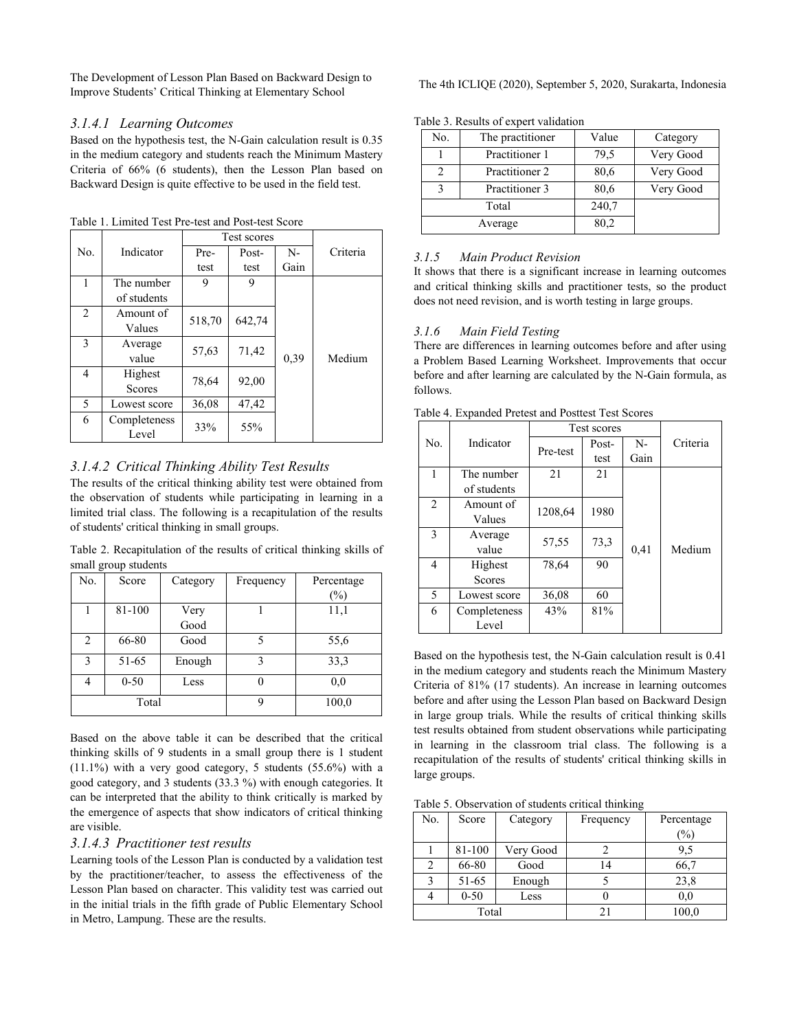The Development of Lesson Plan Based on Backward Design to Improve Students' Critical Thinking at Elementary School The 4th ICLIQE (2020), September 5, 2020, Surakarta, Indonesia

#### *3.1.4.1 Learning Outcomes*

Based on the hypothesis test, the N-Gain calculation result is 0.35 in the medium category and students reach the Minimum Mastery Criteria of 66% (6 students), then the Lesson Plan based on Backward Design is quite effective to be used in the field test.

Table 1. Limited Test Pre-test and Post-test Score

|     |                          | Test scores |        |      |          |
|-----|--------------------------|-------------|--------|------|----------|
| No. | Indicator                | Pre-        | Post-  | $N-$ | Criteria |
|     |                          | test        | test   | Gain |          |
|     | The number               | 9           | 9      |      |          |
|     | of students              |             |        |      |          |
| 2   | Amount of                | 518,70      | 642,74 |      |          |
|     | Values                   |             |        |      |          |
| 3   | Average<br>value         | 57,63       | 71,42  | 0,39 | Medium   |
| 4   | Highest<br><b>Scores</b> | 78,64       | 92,00  |      |          |
| 5   | Lowest score             | 36,08       | 47,42  |      |          |
| 6   | Completeness<br>Level    | 33%         | 55%    |      |          |

# *3.1.4.2 Critical Thinking Ability Test Results*

The results of the critical thinking ability test were obtained from the observation of students while participating in learning in a limited trial class. The following is a recapitulation of the results of students' critical thinking in small groups.

Table 2. Recapitulation of the results of critical thinking skills of small group students

| No. | Score    | Category     | Frequency | Percentage<br>(%) |
|-----|----------|--------------|-----------|-------------------|
|     | 81-100   | Very<br>Good |           | 11,1              |
| 2   | 66-80    | Good         | 5         | 55,6              |
| 3   | 51-65    | Enough       | 3         | 33,3              |
| 4   | $0 - 50$ | Less         |           | 0,0               |
|     | Total    |              | 9         | 100,0             |

Based on the above table it can be described that the critical thinking skills of 9 students in a small group there is 1 student (11.1%) with a very good category, 5 students (55.6%) with a good category, and 3 students (33.3 %) with enough categories. It can be interpreted that the ability to think critically is marked by the emergence of aspects that show indicators of critical thinking are visible.

# *3.1.4.3 Practitioner test results*

Learning tools of the Lesson Plan is conducted by a validation test by the practitioner/teacher, to assess the effectiveness of the Lesson Plan based on character. This validity test was carried out in the initial trials in the fifth grade of Public Elementary School in Metro, Lampung. These are the results.

Table 3. Results of expert validation

| No.                            | The practitioner | Value | Category  |
|--------------------------------|------------------|-------|-----------|
|                                | Practitioner 1   | 79,5  | Very Good |
|                                | Practitioner 2   | 80,6  | Very Good |
| Practitioner 3<br>$\mathbf{c}$ |                  | 80,6  | Very Good |
| Total                          |                  | 240,7 |           |
| Average                        |                  | 80,2  |           |

## *3.1.5 Main Product Revision*

It shows that there is a significant increase in learning outcomes and critical thinking skills and practitioner tests, so the product does not need revision, and is worth testing in large groups.

# *3.1.6 Main Field Testing*

There are differences in learning outcomes before and after using a Problem Based Learning Worksheet. Improvements that occur before and after learning are calculated by the N-Gain formula, as follows.

|     |               | Test scores |       |      |          |
|-----|---------------|-------------|-------|------|----------|
| No. | Indicator     | Pre-test    | Post- | $N-$ | Criteria |
|     |               |             | test  | Gain |          |
| 1   | The number    | 21<br>21    |       |      |          |
|     | of students   |             |       |      |          |
| 2   | Amount of     | 1208,64     | 1980  |      |          |
|     | Values        |             |       |      |          |
| 3   | Average       | 57,55       | 73,3  |      |          |
|     | value         |             |       | 0,41 | Medium   |
| 4   | Highest       | 78,64       | 90    |      |          |
|     | <b>Scores</b> |             |       |      |          |
| 5   | Lowest score  | 36,08       | 60    |      |          |
| 6   | Completeness  | 43%         | 81%   |      |          |
|     | Level         |             |       |      |          |

Based on the hypothesis test, the N-Gain calculation result is 0.41 in the medium category and students reach the Minimum Mastery Criteria of 81% (17 students). An increase in learning outcomes before and after using the Lesson Plan based on Backward Design in large group trials. While the results of critical thinking skills test results obtained from student observations while participating in learning in the classroom trial class. The following is a recapitulation of the results of students' critical thinking skills in large groups.

Table 5. Observation of students critical thinking

| No.   | Score    | Category  | Frequency | Percentage |
|-------|----------|-----------|-----------|------------|
|       |          |           |           | (%)        |
|       | 81-100   | Very Good |           | 9,5        |
| 2     | 66-80    | Good      | 14        | 66,7       |
| 3     | 51-65    | Enough    |           | 23,8       |
|       | $0 - 50$ | Less      |           | 0,0        |
| Total |          |           |           | 100,0      |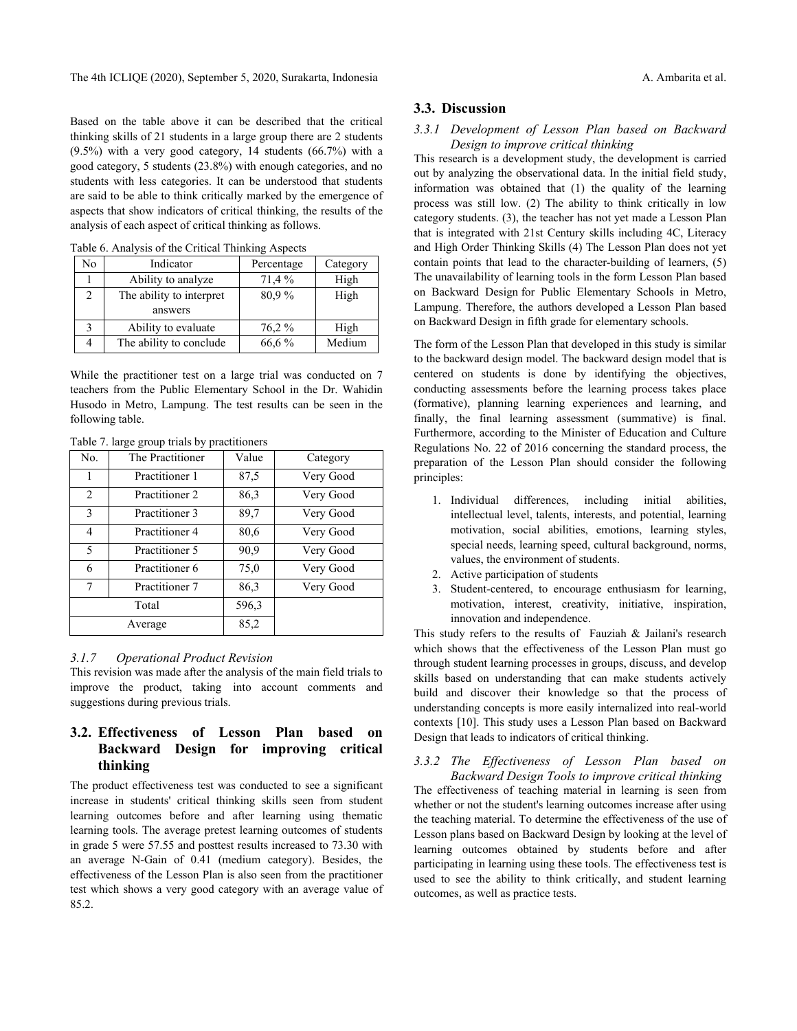Based on the table above it can be described that the critical thinking skills of 21 students in a large group there are 2 students (9.5%) with a very good category, 14 students (66.7%) with a good category, 5 students (23.8%) with enough categories, and no students with less categories. It can be understood that students are said to be able to think critically marked by the emergence of aspects that show indicators of critical thinking, the results of the analysis of each aspect of critical thinking as follows.

| Table 6. Analysis of the Critical Thinking Aspects |                          |            |          |  |  |  |
|----------------------------------------------------|--------------------------|------------|----------|--|--|--|
| No                                                 | Indicator                | Percentage | Category |  |  |  |
|                                                    | Ability to analyze       | 71,4 %     | High     |  |  |  |
| $\overline{c}$                                     | The ability to interpret | 80.9%      | High     |  |  |  |
|                                                    | answers                  |            |          |  |  |  |
| 3                                                  | Ability to evaluate      | 76,2%      | High     |  |  |  |
| 4                                                  | The ability to conclude  | 66,6 %     | Medium   |  |  |  |
|                                                    |                          |            |          |  |  |  |

Table 6. Analysis of the Critical Thinking Aspects

While the practitioner test on a large trial was conducted on 7 teachers from the Public Elementary School in the Dr. Wahidin Husodo in Metro, Lampung. The test results can be seen in the following table.

| No.                 | - 1<br>The Practitioner | Value | Category  |
|---------------------|-------------------------|-------|-----------|
| Practitioner 1<br>1 |                         | 87,5  | Very Good |
| 2                   | Practitioner 2          | 86,3  | Very Good |
| 3                   | Practitioner 3          | 89,7  | Very Good |
| 4                   | Practitioner 4          | 80,6  | Very Good |
| 5                   | Practitioner 5          | 90,9  | Very Good |
| 6                   | Practitioner 6          | 75,0  | Very Good |
| Practitioner 7<br>7 |                         | 86,3  | Very Good |
| Total               |                         | 596,3 |           |
| Average             |                         | 85,2  |           |

Table 7. large group trials by practitioners

#### *3.1.7 Operational Product Revision*

This revision was made after the analysis of the main field trials to improve the product, taking into account comments and suggestions during previous trials.

# **3.2. Effectiveness of Lesson Plan based on Backward Design for improving critical thinking**

The product effectiveness test was conducted to see a significant increase in students' critical thinking skills seen from student learning outcomes before and after learning using thematic learning tools. The average pretest learning outcomes of students in grade 5 were 57.55 and posttest results increased to 73.30 with an average N-Gain of 0.41 (medium category). Besides, the effectiveness of the Lesson Plan is also seen from the practitioner test which shows a very good category with an average value of 85.2.

# **3.3. Discussion**

# *3.3.1 Development of Lesson Plan based on Backward Design to improve critical thinking*

This research is a development study, the development is carried out by analyzing the observational data. In the initial field study, information was obtained that (1) the quality of the learning process was still low. (2) The ability to think critically in low category students. (3), the teacher has not yet made a Lesson Plan that is integrated with 21st Century skills including 4C, Literacy and High Order Thinking Skills (4) The Lesson Plan does not yet contain points that lead to the character-building of learners, (5) The unavailability of learning tools in the form Lesson Plan based on Backward Design for Public Elementary Schools in Metro, Lampung. Therefore, the authors developed a Lesson Plan based on Backward Design in fifth grade for elementary schools.

The form of the Lesson Plan that developed in this study is similar to the backward design model. The backward design model that is centered on students is done by identifying the objectives, conducting assessments before the learning process takes place (formative), planning learning experiences and learning, and finally, the final learning assessment (summative) is final. Furthermore, according to the Minister of Education and Culture Regulations No. 22 of 2016 concerning the standard process, the preparation of the Lesson Plan should consider the following principles:

- 1. Individual differences, including initial abilities, intellectual level, talents, interests, and potential, learning motivation, social abilities, emotions, learning styles, special needs, learning speed, cultural background, norms, values, the environment of students.
- 2. Active participation of students
- 3. Student-centered, to encourage enthusiasm for learning, motivation, interest, creativity, initiative, inspiration, innovation and independence.

This study refers to the results of Fauziah & Jailani's research which shows that the effectiveness of the Lesson Plan must go through student learning processes in groups, discuss, and develop skills based on understanding that can make students actively build and discover their knowledge so that the process of understanding concepts is more easily internalized into real-world contexts [10]. This study uses a Lesson Plan based on Backward Design that leads to indicators of critical thinking.

# *3.3.2 The Effectiveness of Lesson Plan based on Backward Design Tools to improve critical thinking* The effectiveness of teaching material in learning is seen from whether or not the student's learning outcomes increase after using the teaching material. To determine the effectiveness of the use of Lesson plans based on Backward Design by looking at the level of learning outcomes obtained by students before and after participating in learning using these tools. The effectiveness test is used to see the ability to think critically, and student learning outcomes, as well as practice tests.